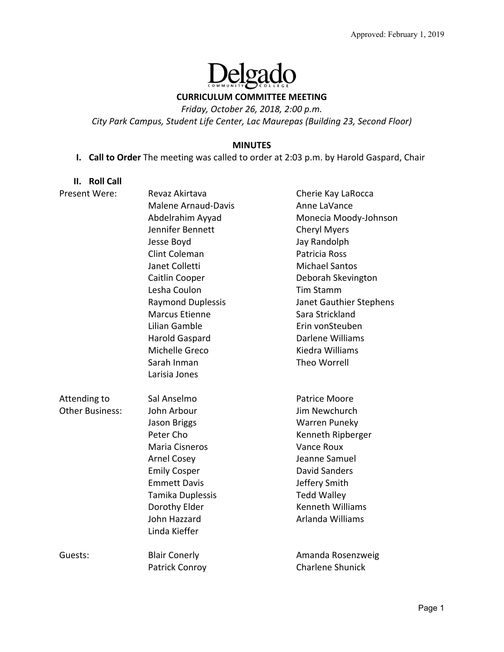# elgado

# **CURRICULUM COMMITTEE MEETING**

*Friday, October 26, 2018, 2:00 p.m.* 

*City Park Campus, Student Life Center, Lac Maurepas (Building 23, Second Floor)* 

#### **MINUTES**

# **I. Call to Order** The meeting was called to order at 2:03 p.m. by Harold Gaspard, Chair

**II. Roll Call** 

| Present Were:   | Revaz Akirtava             | Cherie Kay LaRocca      |
|-----------------|----------------------------|-------------------------|
|                 | <b>Malene Arnaud-Davis</b> | Anne LaVance            |
|                 | Abdelrahim Ayyad           | Monecia Moody-Johnson   |
|                 | Jennifer Bennett           | <b>Cheryl Myers</b>     |
|                 | Jesse Boyd                 | Jay Randolph            |
|                 | <b>Clint Coleman</b>       | Patricia Ross           |
|                 | Janet Colletti             | <b>Michael Santos</b>   |
|                 | Caitlin Cooper             | Deborah Skevington      |
|                 | Lesha Coulon               | <b>Tim Stamm</b>        |
|                 | <b>Raymond Duplessis</b>   | Janet Gauthier Stephens |
|                 | <b>Marcus Etienne</b>      | Sara Strickland         |
|                 | Lilian Gamble              | Erin vonSteuben         |
|                 | Harold Gaspard             | Darlene Williams        |
|                 | Michelle Greco             | Kiedra Williams         |
|                 | Sarah Inman                | Theo Worrell            |
|                 | Larisia Jones              |                         |
| Attending to    | Sal Anselmo                | <b>Patrice Moore</b>    |
| Other Business: | John Arbour                | Jim Newchurch           |
|                 | Jason Briggs               | Warren Puneky           |
|                 | Peter Cho                  | Kenneth Ripberger       |
|                 | <b>Maria Cisneros</b>      | Vance Roux              |
|                 | <b>Arnel Cosey</b>         | Jeanne Samuel           |
|                 | <b>Emily Cosper</b>        | <b>David Sanders</b>    |
|                 | <b>Emmett Davis</b>        | Jeffery Smith           |
|                 | Tamika Duplessis           | <b>Tedd Walley</b>      |
|                 | Dorothy Elder              | <b>Kenneth Williams</b> |
|                 | John Hazzard               | Arlanda Williams        |
|                 | Linda Kieffer              |                         |
| Guests:         | <b>Blair Conerly</b>       | Amanda Rosenzweig       |
|                 | Patrick Conroy             | <b>Charlene Shunick</b> |
|                 |                            |                         |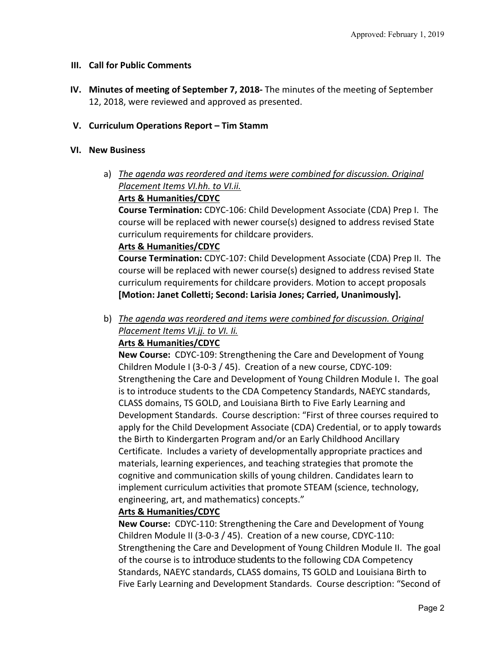#### **III. Call for Public Comments**

**IV. Minutes of meeting of September 7, 2018‐** The minutes of the meeting of September 12, 2018, were reviewed and approved as presented.

# **V. Curriculum Operations Report – Tim Stamm**

#### **VI. New Business**

a) *The agenda was reordered and items were combined for discussion. Original Placement Items VI.hh. to VI.ii.* 

## **Arts & Humanities/CDYC**

**Course Termination:** CDYC‐106: Child Development Associate (CDA) Prep I. The course will be replaced with newer course(s) designed to address revised State curriculum requirements for childcare providers.

## **Arts & Humanities/CDYC**

**Course Termination:** CDYC‐107: Child Development Associate (CDA) Prep II. The course will be replaced with newer course(s) designed to address revised State curriculum requirements for childcare providers. Motion to accept proposals **[Motion: Janet Colletti; Second: Larisia Jones; Carried, Unanimously].** 

b) *The agenda was reordered and items were combined for discussion. Original Placement Items VI.jj. to VI. Ii.* 

# **Arts & Humanities/CDYC**

**New Course:** CDYC-109: Strengthening the Care and Development of Young Children Module I (3‐0‐3 / 45). Creation of a new course, CDYC‐109: Strengthening the Care and Development of Young Children Module I. The goal is to introduce students to the CDA Competency Standards, NAEYC standards, CLASS domains, TS GOLD, and Louisiana Birth to Five Early Learning and Development Standards. Course description: "First of three courses required to apply for the Child Development Associate (CDA) Credential, or to apply towards the Birth to Kindergarten Program and/or an Early Childhood Ancillary Certificate. Includes a variety of developmentally appropriate practices and materials, learning experiences, and teaching strategies that promote the cognitive and communication skills of young children. Candidates learn to implement curriculum activities that promote STEAM (science, technology, engineering, art, and mathematics) concepts."

#### **Arts & Humanities/CDYC**

**New Course:** CDYC-110: Strengthening the Care and Development of Young Children Module II (3‐0‐3 / 45). Creation of a new course, CDYC‐110: Strengthening the Care and Development of Young Children Module II. The goal of the course is to introduce students to the following CDA Competency Standards, NAEYC standards, CLASS domains, TS GOLD and Louisiana Birth to Five Early Learning and Development Standards. Course description: "Second of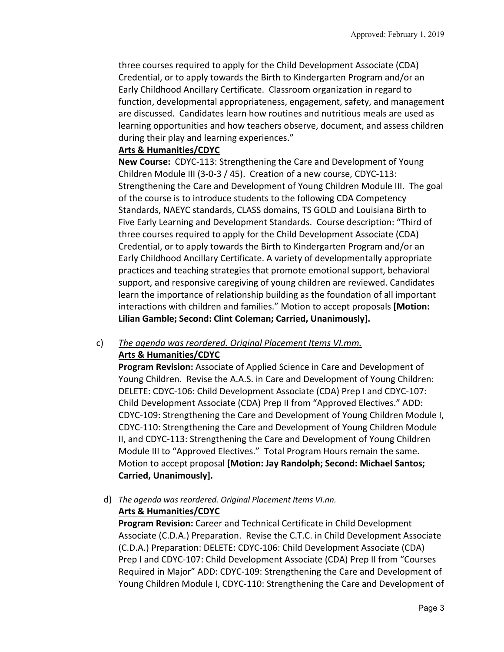three courses required to apply for the Child Development Associate (CDA) Credential, or to apply towards the Birth to Kindergarten Program and/or an Early Childhood Ancillary Certificate. Classroom organization in regard to function, developmental appropriateness, engagement, safety, and management are discussed. Candidates learn how routines and nutritious meals are used as learning opportunities and how teachers observe, document, and assess children during their play and learning experiences."

## **Arts & Humanities/CDYC**

**New Course:** CDYC-113: Strengthening the Care and Development of Young Children Module III (3‐0‐3 / 45). Creation of a new course, CDYC‐113: Strengthening the Care and Development of Young Children Module III. The goal of the course is to introduce students to the following CDA Competency Standards, NAEYC standards, CLASS domains, TS GOLD and Louisiana Birth to Five Early Learning and Development Standards. Course description: "Third of three courses required to apply for the Child Development Associate (CDA) Credential, or to apply towards the Birth to Kindergarten Program and/or an Early Childhood Ancillary Certificate. A variety of developmentally appropriate practices and teaching strategies that promote emotional support, behavioral support, and responsive caregiving of young children are reviewed. Candidates learn the importance of relationship building as the foundation of all important interactions with children and families." Motion to accept proposals **[Motion: Lilian Gamble; Second: Clint Coleman; Carried, Unanimously].** 

#### c) *The agenda was reordered. Original Placement Items VI.mm.*  **Arts & Humanities/CDYC**

**Program Revision:** Associate of Applied Science in Care and Development of Young Children. Revise the A.A.S. in Care and Development of Young Children: DELETE: CDYC‐106: Child Development Associate (CDA) Prep I and CDYC‐107: Child Development Associate (CDA) Prep II from "Approved Electives." ADD: CDYC‐109: Strengthening the Care and Development of Young Children Module I, CDYC‐110: Strengthening the Care and Development of Young Children Module II, and CDYC‐113: Strengthening the Care and Development of Young Children Module III to "Approved Electives." Total Program Hours remain the same. Motion to accept proposal **[Motion: Jay Randolph; Second: Michael Santos; Carried, Unanimously].** 

#### d) *The agenda was reordered. Original Placement Items VI.nn.*

# **Arts & Humanities/CDYC**

**Program Revision:** Career and Technical Certificate in Child Development Associate (C.D.A.) Preparation. Revise the C.T.C. in Child Development Associate (C.D.A.) Preparation: DELETE: CDYC‐106: Child Development Associate (CDA) Prep I and CDYC‐107: Child Development Associate (CDA) Prep II from "Courses Required in Major" ADD: CDYC‐109: Strengthening the Care and Development of Young Children Module I, CDYC‐110: Strengthening the Care and Development of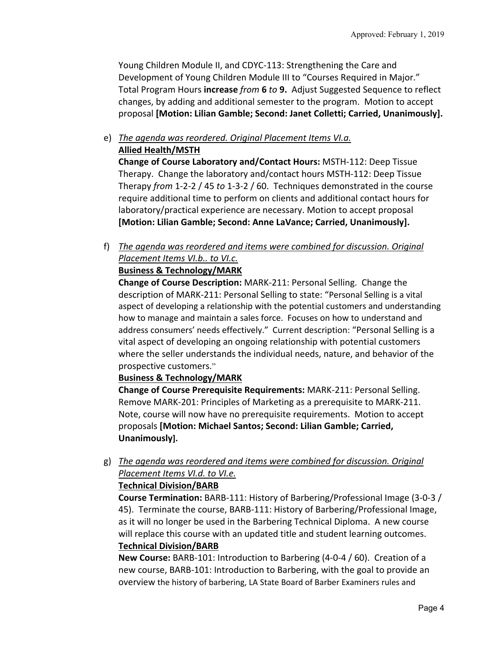Young Children Module II, and CDYC‐113: Strengthening the Care and Development of Young Children Module III to "Courses Required in Major." Total Program Hours **increase** *from* **6** *to* **9.** Adjust Suggested Sequence to reflect changes, by adding and additional semester to the program. Motion to accept proposal **[Motion: Lilian Gamble; Second: Janet Colletti; Carried, Unanimously].**

e) *The agenda was reordered. Original Placement Items VI.a.* 

**Allied Health/MSTH** 

**Change of Course Laboratory and/Contact Hours:** MSTH‐112: Deep Tissue Therapy. Change the laboratory and/contact hours MSTH‐112: Deep Tissue Therapy *from* 1‐2‐2 / 45 *to* 1‐3‐2 / 60. Techniques demonstrated in the course require additional time to perform on clients and additional contact hours for laboratory/practical experience are necessary. Motion to accept proposal **[Motion: Lilian Gamble; Second: Anne LaVance; Carried, Unanimously].** 

f) *The agenda was reordered and items were combined for discussion. Original Placement Items VI.b.. to VI.c.* 

# **Business & Technology/MARK**

**Change of Course Description:** MARK‐211: Personal Selling. Change the description of MARK‐211: Personal Selling to state: "Personal Selling is a vital aspect of developing a relationship with the potential customers and understanding how to manage and maintain a sales force. Focuses on how to understand and address consumers' needs effectively." Current description: "Personal Selling is a vital aspect of developing an ongoing relationship with potential customers where the seller understands the individual needs, nature, and behavior of the prospective customers."

# **Business & Technology/MARK**

**Change of Course Prerequisite Requirements:** MARK‐211: Personal Selling. Remove MARK‐201: Principles of Marketing as a prerequisite to MARK‐211. Note, course will now have no prerequisite requirements. Motion to accept proposals **[Motion: Michael Santos; Second: Lilian Gamble; Carried, Unanimously].** 

g) *The agenda was reordered and items were combined for discussion. Original Placement Items VI.d. to VI.e.* 

# **Technical Division/BARB**

**Course Termination:** BARB‐111: History of Barbering/Professional Image (3‐0‐3 / 45). Terminate the course, BARB‐111: History of Barbering/Professional Image, as it will no longer be used in the Barbering Technical Diploma. A new course will replace this course with an updated title and student learning outcomes. **Technical Division/BARB** 

**New Course:** BARB‐101: Introduction to Barbering (4‐0‐4 / 60). Creation of a new course, BARB‐101: Introduction to Barbering, with the goal to provide an overview the history of barbering, LA State Board of Barber Examiners rules and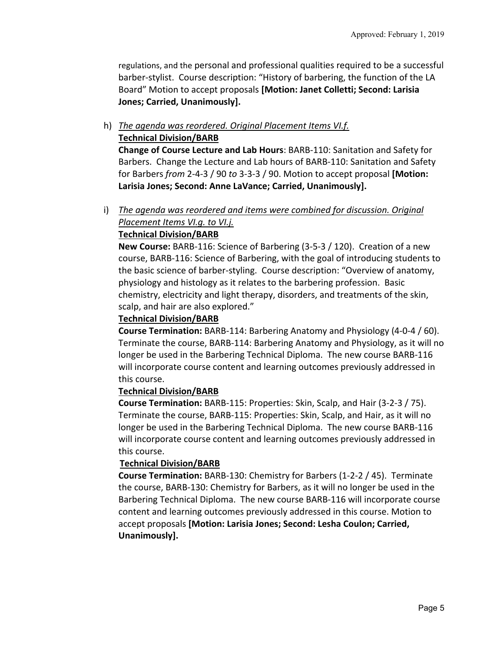regulations, and the personal and professional qualities required to be a successful barber‐stylist. Course description: "History of barbering, the function of the LA Board" Motion to accept proposals **[Motion: Janet Colletti; Second: Larisia Jones; Carried, Unanimously].** 

#### h) *The agenda was reordered. Original Placement Items VI.f.*  **Technical Division/BARB**

**Change of Course Lecture and Lab Hours**: BARB‐110: Sanitation and Safety for Barbers. Change the Lecture and Lab hours of BARB‐110: Sanitation and Safety for Barbers *from* 2‐4‐3 / 90 *to* 3‐3‐3 / 90. Motion to accept proposal **[Motion: Larisia Jones; Second: Anne LaVance; Carried, Unanimously].**

# i) *The agenda was reordered and items were combined for discussion. Original Placement Items VI.g. to VI.j.*

# **Technical Division/BARB**

**New Course:** BARB‐116: Science of Barbering (3‐5‐3 / 120). Creation of a new course, BARB‐116: Science of Barbering, with the goal of introducing students to the basic science of barber‐styling. Course description: "Overview of anatomy, physiology and histology as it relates to the barbering profession. Basic chemistry, electricity and light therapy, disorders, and treatments of the skin, scalp, and hair are also explored."

#### **Technical Division/BARB**

**Course Termination:** BARB‐114: Barbering Anatomy and Physiology (4‐0‐4 / 60). Terminate the course, BARB‐114: Barbering Anatomy and Physiology, as it will no longer be used in the Barbering Technical Diploma. The new course BARB‐116 will incorporate course content and learning outcomes previously addressed in this course.

#### **Technical Division/BARB**

**Course Termination:** BARB‐115: Properties: Skin, Scalp, and Hair (3‐2‐3 / 75). Terminate the course, BARB‐115: Properties: Skin, Scalp, and Hair, as it will no longer be used in the Barbering Technical Diploma. The new course BARB‐116 will incorporate course content and learning outcomes previously addressed in this course.

#### **Technical Division/BARB**

**Course Termination:** BARB‐130: Chemistry for Barbers (1‐2‐2 / 45). Terminate the course, BARB‐130: Chemistry for Barbers, as it will no longer be used in the Barbering Technical Diploma. The new course BARB‐116 will incorporate course content and learning outcomes previously addressed in this course. Motion to accept proposals **[Motion: Larisia Jones; Second: Lesha Coulon; Carried, Unanimously].**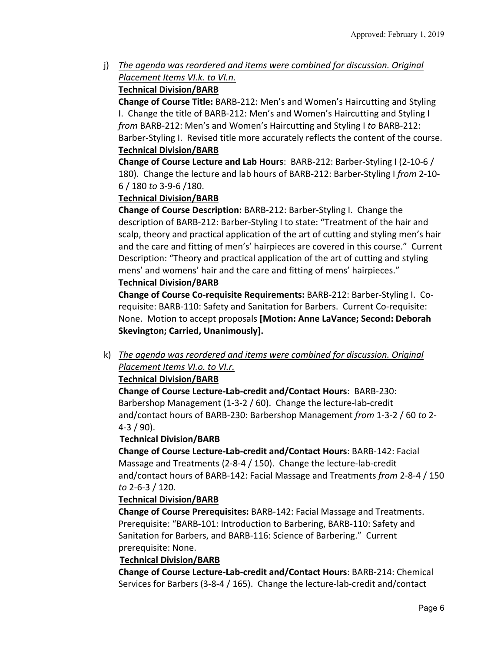j) *The agenda was reordered and items were combined for discussion. Original Placement Items VI.k. to VI.n.*

# **Technical Division/BARB**

**Change of Course Title:** BARB‐212: Men's and Women's Haircutting and Styling I. Change the title of BARB‐212: Men's and Women's Haircutting and Styling I *from* BARB‐212: Men's and Women's Haircutting and Styling I *to* BARB‐212: Barber‐Styling I. Revised title more accurately reflects the content of the course. **Technical Division/BARB** 

**Change of Course Lecture and Lab Hours**: BARB‐212: Barber‐Styling I (2‐10‐6 / 180). Change the lecture and lab hours of BARB‐212: Barber‐Styling I *from* 2‐10‐ 6 / 180 *to* 3‐9‐6 /180.

# **Technical Division/BARB**

**Change of Course Description:** BARB‐212: Barber‐Styling I. Change the description of BARB‐212: Barber‐Styling I to state: "Treatment of the hair and scalp, theory and practical application of the art of cutting and styling men's hair and the care and fitting of men's' hairpieces are covered in this course." Current Description: "Theory and practical application of the art of cutting and styling mens' and womens' hair and the care and fitting of mens' hairpieces."

# **Technical Division/BARB**

**Change of Course Co‐requisite Requirements:** BARB‐212: Barber‐Styling I. Co‐ requisite: BARB-110: Safety and Sanitation for Barbers. Current Co-requisite: None. Motion to accept proposals **[Motion: Anne LaVance; Second: Deborah Skevington; Carried, Unanimously].** 

k) *The agenda was reordered and items were combined for discussion. Original Placement Items VI.o. to VI.r.* 

# **Technical Division/BARB**

**Change of Course Lecture‐Lab‐credit and/Contact Hours**: BARB‐230: Barbershop Management (1‐3‐2 / 60). Change the lecture‐lab‐credit and/contact hours of BARB‐230: Barbershop Management *from* 1‐3‐2 / 60 *to* 2‐ 4‐3 / 90).

# **Technical Division/BARB**

**Change of Course Lecture‐Lab‐credit and/Contact Hours**: BARB‐142: Facial Massage and Treatments (2‐8‐4 / 150). Change the lecture‐lab‐credit and/contact hours of BARB‐142: Facial Massage and Treatments *from* 2‐8‐4 / 150 *to* 2‐6‐3 / 120.

# **Technical Division/BARB**

**Change of Course Prerequisites:** BARB‐142: Facial Massage and Treatments. Prerequisite: "BARB‐101: Introduction to Barbering, BARB‐110: Safety and Sanitation for Barbers, and BARB‐116: Science of Barbering." Current prerequisite: None.

# **Technical Division/BARB**

**Change of Course Lecture‐Lab‐credit and/Contact Hours**: BARB‐214: Chemical Services for Barbers (3‐8‐4 / 165). Change the lecture‐lab‐credit and/contact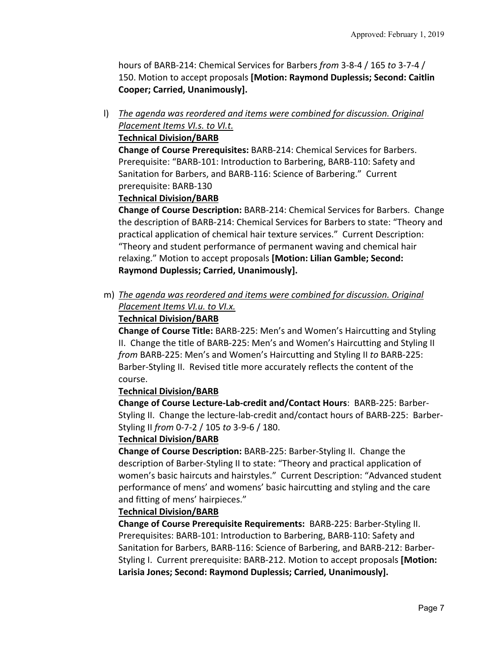hours of BARB‐214: Chemical Services for Barbers *from* 3‐8‐4 / 165 *to* 3‐7‐4 / 150. Motion to accept proposals **[Motion: Raymond Duplessis; Second: Caitlin Cooper; Carried, Unanimously].**

l) *The agenda was reordered and items were combined for discussion. Original Placement Items VI.s. to VI.t.* 

## **Technical Division/BARB**

**Change of Course Prerequisites:** BARB‐214: Chemical Services for Barbers. Prerequisite: "BARB‐101: Introduction to Barbering, BARB‐110: Safety and Sanitation for Barbers, and BARB‐116: Science of Barbering." Current prerequisite: BARB‐130

## **Technical Division/BARB**

**Change of Course Description:** BARB‐214: Chemical Services for Barbers. Change the description of BARB‐214: Chemical Services for Barbers to state: "Theory and practical application of chemical hair texture services." Current Description: "Theory and student performance of permanent waving and chemical hair relaxing." Motion to accept proposals **[Motion: Lilian Gamble; Second: Raymond Duplessis; Carried, Unanimously].** 

m) *The agenda was reordered and items were combined for discussion. Original Placement Items VI.u. to VI.x.*

# **Technical Division/BARB**

**Change of Course Title:** BARB‐225: Men's and Women's Haircutting and Styling II. Change the title of BARB‐225: Men's and Women's Haircutting and Styling II *from* BARB‐225: Men's and Women's Haircutting and Styling II *to* BARB‐225: Barber‐Styling II. Revised title more accurately reflects the content of the course.

# **Technical Division/BARB**

**Change of Course Lecture‐Lab‐credit and/Contact Hours**: BARB‐225: Barber‐ Styling II. Change the lecture‐lab‐credit and/contact hours of BARB‐225: Barber‐ Styling II *from* 0‐7‐2 / 105 *to* 3‐9‐6 / 180.

#### **Technical Division/BARB**

**Change of Course Description:** BARB‐225: Barber‐Styling II. Change the description of Barber‐Styling II to state: "Theory and practical application of women's basic haircuts and hairstyles." Current Description: "Advanced student performance of mens' and womens' basic haircutting and styling and the care and fitting of mens' hairpieces."

#### **Technical Division/BARB**

**Change of Course Prerequisite Requirements: BARB-225: Barber-Styling II.** Prerequisites: BARB‐101: Introduction to Barbering, BARB‐110: Safety and Sanitation for Barbers, BARB‐116: Science of Barbering, and BARB‐212: Barber‐ Styling I. Current prerequisite: BARB‐212. Motion to accept proposals **[Motion: Larisia Jones; Second: Raymond Duplessis; Carried, Unanimously].**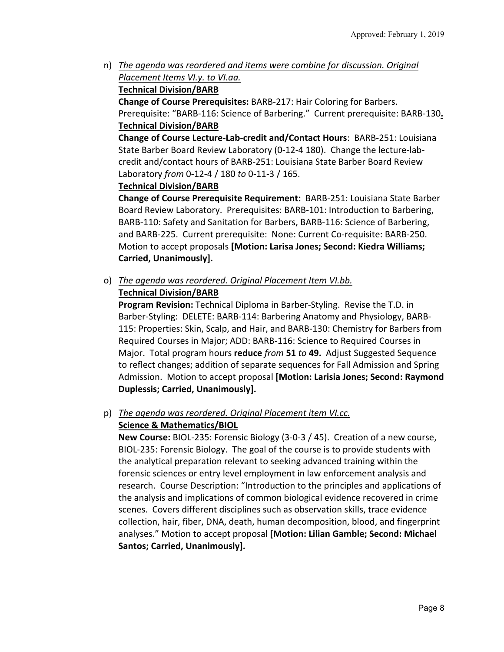n) *The agenda was reordered and items were combine for discussion. Original Placement Items VI.y. to VI.aa.*

# **Technical Division/BARB**

**Change of Course Prerequisites:** BARB‐217: Hair Coloring for Barbers. Prerequisite: "BARB‐116: Science of Barbering." Current prerequisite: BARB‐130**. Technical Division/BARB** 

**Change of Course Lecture‐Lab‐credit and/Contact Hours**: BARB‐251: Louisiana State Barber Board Review Laboratory (0‐12‐4 180). Change the lecture‐lab‐ credit and/contact hours of BARB‐251: Louisiana State Barber Board Review Laboratory *from* 0‐12‐4 / 180 *to* 0‐11‐3 / 165.

## **Technical Division/BARB**

**Change of Course Prerequisite Requirement:** BARB‐251: Louisiana State Barber Board Review Laboratory. Prerequisites: BARB‐101: Introduction to Barbering, BARB‐110: Safety and Sanitation for Barbers, BARB‐116: Science of Barbering, and BARB‐225. Current prerequisite: None: Current Co‐requisite: BARB‐250. Motion to accept proposals **[Motion: Larisa Jones; Second: Kiedra Williams; Carried, Unanimously].** 

# o) *The agenda was reordered. Original Placement Item VI.bb.*

## **Technical Division/BARB**

**Program Revision:** Technical Diploma in Barber‐Styling. Revise the T.D. in Barber‐Styling: DELETE: BARB‐114: Barbering Anatomy and Physiology, BARB‐ 115: Properties: Skin, Scalp, and Hair, and BARB‐130: Chemistry for Barbers from Required Courses in Major; ADD: BARB‐116: Science to Required Courses in Major. Total program hours **reduce** *from* **51** *to* **49.** Adjust Suggested Sequence to reflect changes; addition of separate sequences for Fall Admission and Spring Admission. Motion to accept proposal **[Motion: Larisia Jones; Second: Raymond Duplessis; Carried, Unanimously].** 

## p) *The agenda was reordered. Original Placement item VI.cc.*  **Science & Mathematics/BIOL**

**New Course:** BIOL‐235: Forensic Biology (3‐0‐3 / 45). Creation of a new course, BIOL‐235: Forensic Biology. The goal of the course is to provide students with the analytical preparation relevant to seeking advanced training within the forensic sciences or entry level employment in law enforcement analysis and research. Course Description: "Introduction to the principles and applications of the analysis and implications of common biological evidence recovered in crime scenes. Covers different disciplines such as observation skills, trace evidence collection, hair, fiber, DNA, death, human decomposition, blood, and fingerprint analyses." Motion to accept proposal **[Motion: Lilian Gamble; Second: Michael Santos; Carried, Unanimously].**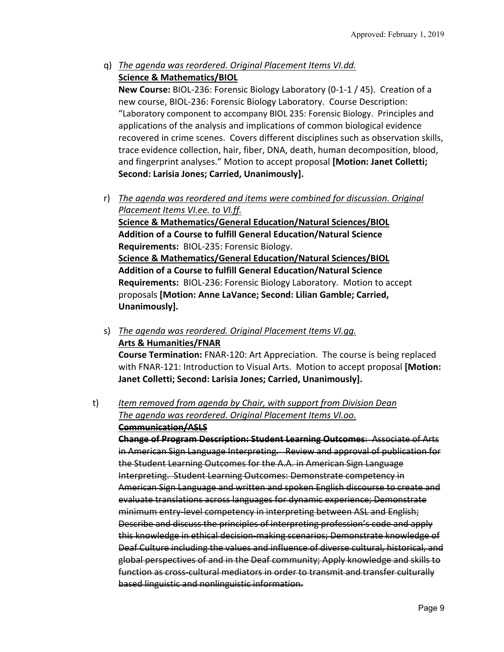q) *The agenda was reordered. Original Placement Items VI.dd.*  **Science & Mathematics/BIOL** 

**New Course:** BIOL‐236: Forensic Biology Laboratory (0‐1‐1 / 45). Creation of a new course, BIOL‐236: Forensic Biology Laboratory. Course Description: "Laboratory component to accompany BIOL 235: Forensic Biology. Principles and applications of the analysis and implications of common biological evidence recovered in crime scenes. Covers different disciplines such as observation skills, trace evidence collection, hair, fiber, DNA, death, human decomposition, blood, and fingerprint analyses." Motion to accept proposal **[Motion: Janet Colletti; Second: Larisia Jones; Carried, Unanimously].** 

r) *The agenda was reordered and items were combined for discussion. Original Placement Items VI.ee. to VI.ff.*  **Science & Mathematics/General Education/Natural Sciences/BIOL Addition of a Course to fulfill General Education/Natural Science Requirements:** BIOL‐235: Forensic Biology. **Science & Mathematics/General Education/Natural Sciences/BIOL Addition of a Course to fulfill General Education/Natural Science Requirements:** BIOL‐236: Forensic Biology Laboratory. Motion to accept proposals **[Motion: Anne LaVance; Second: Lilian Gamble; Carried, Unanimously].** 

s) *The agenda was reordered. Original Placement Items VI.gg.*  **Arts & Humanities/FNAR Course Termination:** FNAR‐120: Art Appreciation. The course is being replaced with FNAR‐121: Introduction to Visual Arts. Motion to accept proposal **[Motion: Janet Colletti; Second: Larisia Jones; Carried, Unanimously].**

# t) *Item removed from agenda by Chair, with support from Division Dean The agenda was reordered. Original Placement Items VI.oo.* **Communication/ASLS**

**Change of Program Description: Student Learning Outcomes**:Associate of Arts in American Sign Language Interpreting. Review and approval of publication for the Student Learning Outcomes for the A.A. in American Sign Language Interpreting. Student Learning Outcomes: Demonstrate competency in American Sign Language and written and spoken English discourse to create and evaluate translations across languages for dynamic experience; Demonstrate minimum entry level competency in interpreting between ASL and English; Describe and discuss the principles of interpreting profession's code and apply this knowledge in ethical decision‐making scenarios; Demonstrate knowledge of Deaf Culture including the values and influence of diverse cultural, historical, and global perspectives of and in the Deaf community; Apply knowledge and skills to function as cross‐cultural mediators in order to transmit and transfer culturally based linguistic and nonlinguistic information.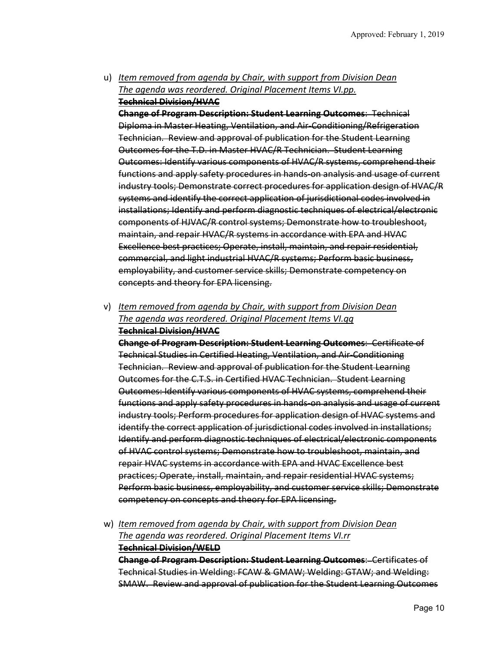u) *Item removed from agenda by Chair, with support from Division Dean The agenda was reordered. Original Placement Items VI.pp.* **Technical Division/HVAC**

**Change of Program Description: Student Learning Outcomes**: Technical Diploma in Master Heating, Ventilation, and Air‐Conditioning/Refrigeration Technician. Review and approval of publication for the Student Learning Outcomes for the T.D. in Master HVAC/R Technician. Student Learning Outcomes: Identify various components of HVAC/R systems, comprehend their functions and apply safety procedures in hands on analysis and usage of current industry tools; Demonstrate correct procedures for application design of HVAC/R systems and identify the correct application of jurisdictional codes involved in installations; Identify and perform diagnostic techniques of electrical/electronic components of HJVAC/R control systems; Demonstrate how to troubleshoot, maintain, and repair HVAC/R systems in accordance with EPA and HVAC Excellence best practices; Operate, install, maintain, and repair residential, commercial, and light industrial HVAC/R systems; Perform basic business, employability, and customer service skills; Demonstrate competency on concepts and theory for EPA licensing.

v) *Item removed from agenda by Chair, with support from Division Dean The agenda was reordered. Original Placement Items VI.qq* **Technical Division/HVAC**

**Change of Program Description: Student Learning Outcomes**: Certificate of Technical Studies in Certified Heating, Ventilation, and Air‐Conditioning Technician. Review and approval of publication for the Student Learning Outcomes for the C.T.S. in Certified HVAC Technician. Student Learning Outcomes: Identify various components of HVAC systems, comprehend their functions and apply safety procedures in hands‐on analysis and usage of current industry tools; Perform procedures for application design of HVAC systems and identify the correct application of jurisdictional codes involved in installations; Identify and perform diagnostic techniques of electrical/electronic components of HVAC control systems; Demonstrate how to troubleshoot, maintain, and repair HVAC systems in accordance with EPA and HVAC Excellence best practices; Operate, install, maintain, and repair residential HVAC systems; Perform basic business, employability, and customer service skills; Demonstrate competency on concepts and theory for EPA licensing.

w) *Item removed from agenda by Chair, with support from Division Dean The agenda was reordered. Original Placement Items VI.rr* **Technical Division/WELD Change of Program Description: Student Learning Outcomes**:Certificates of Technical Studies in Welding: FCAW & GMAW; Welding: GTAW; and Welding: SMAW. Review and approval of publication for the Student Learning Outcomes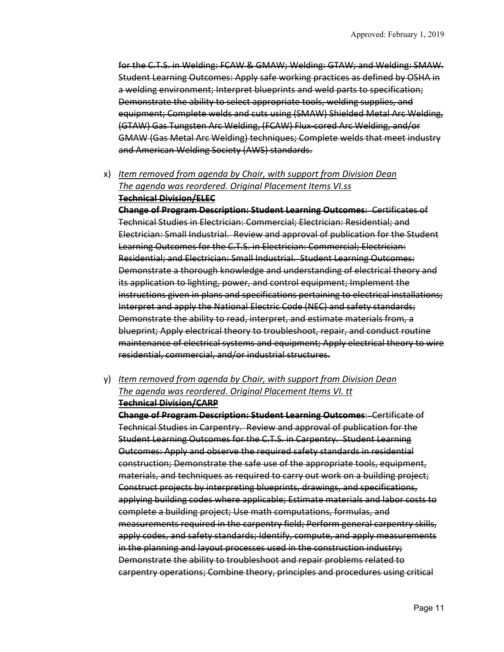for the C.T.S. in Welding: FCAW & GMAW; Welding: GTAW; and Welding: SMAW. Student Learning Outcomes: Apply safe working practices as defined by OSHA in a welding environment; Interpret blueprints and weld parts to specification; Demonstrate the ability to select appropriate tools, welding supplies, and equipment; Complete welds and cuts using (SMAW) Shielded Metal Arc Welding, (GTAW) Gas Tungsten Arc Welding, (FCAW) Flux‐cored Arc Welding, and/or GMAW (Gas Metal Arc Welding) techniques; Complete welds that meet industry and American Welding Society (AWS) standards.

x) *Item removed from agenda by Chair, with support from Division Dean The agenda was reordered. Original Placement Items VI.ss* **Technical Division/ELEC**

**Change of Program Description: Student Learning Outcomes**:Certificates of Technical Studies in Electrician: Commercial; Electrician: Residential; and Electrician: Small Industrial. Review and approval of publication for the Student Learning Outcomes for the C.T.S. in Electrician: Commercial; Electrician: Residential; and Electrician: Small Industrial. Student Learning Outcomes: Demonstrate a thorough knowledge and understanding of electrical theory and its application to lighting, power, and control equipment; Implement the instructions given in plans and specifications pertaining to electrical installations; Interpret and apply the National Electric Code (NEC) and safety standards; Demonstrate the ability to read, interpret, and estimate materials from, a blueprint; Apply electrical theory to troubleshoot, repair, and conduct routine maintenance of electrical systems and equipment; Apply electrical theory to wire residential, commercial, and/or industrial structures.

y) *Item removed from agenda by Chair, with support from Division Dean The agenda was reordered. Original Placement Items VI. tt* **Technical Division/CARP**

**Change of Program Description: Student Learning Outcomes**:Certificate of Technical Studies in Carpentry. Review and approval of publication for the Student Learning Outcomes for the C.T.S. in Carpentry. Student Learning Outcomes: Apply and observe the required safety standards in residential construction; Demonstrate the safe use of the appropriate tools, equipment, materials, and techniques as required to carry out work on a building project; Construct projects by interpreting blueprints, drawings, and specifications, applying building codes where applicable; Estimate materials and labor costs to complete a building project; Use math computations, formulas, and measurements required in the carpentry field; Perform general carpentry skills, apply codes, and safety standards; Identify, compute, and apply measurements in the planning and layout processes used in the construction industry; Demonstrate the ability to troubleshoot and repair problems related to carpentry operations; Combine theory, principles and procedures using critical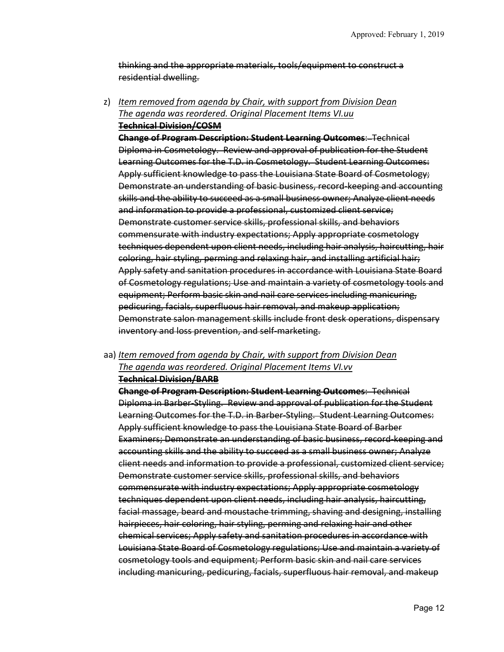thinking and the appropriate materials, tools/equipment to construct a residential dwelling.

z) *Item removed from agenda by Chair, with support from Division Dean The agenda was reordered. Original Placement Items VI.uu* **Technical Division/COSM**

**Change of Program Description: Student Learning Outcomes**:Technical Diploma in Cosmetology. Review and approval of publication for the Student Learning Outcomes for the T.D. in Cosmetology. Student Learning Outcomes: Apply sufficient knowledge to pass the Louisiana State Board of Cosmetology; Demonstrate an understanding of basic business, record keeping and accounting skills and the ability to succeed as a small business owner; Analyze client needs and information to provide a professional, customized client service; Demonstrate customer service skills, professional skills, and behaviors commensurate with industry expectations; Apply appropriate cosmetology techniques dependent upon client needs, including hair analysis, haircutting, hair coloring, hair styling, perming and relaxing hair, and installing artificial hair; Apply safety and sanitation procedures in accordance with Louisiana State Board of Cosmetology regulations; Use and maintain a variety of cosmetology tools and equipment; Perform basic skin and nail care services including manicuring, pedicuring, facials, superfluous hair removal, and makeup application; Demonstrate salon management skills include front desk operations, dispensary inventory and loss prevention, and self-marketing.

## aa) *Item removed from agenda by Chair, with support from Division Dean The agenda was reordered. Original Placement Items VI.vv* **Technical Division/BARB**

**Change of Program Description: Student Learning Outcomes**:Technical Diploma in Barber‐Styling. Review and approval of publication for the Student Learning Outcomes for the T.D. in Barber‐Styling. Student Learning Outcomes: Apply sufficient knowledge to pass the Louisiana State Board of Barber Examiners; Demonstrate an understanding of basic business, record-keeping and accounting skills and the ability to succeed as a small business owner; Analyze client needs and information to provide a professional, customized client service; Demonstrate customer service skills, professional skills, and behaviors commensurate with industry expectations; Apply appropriate cosmetology techniques dependent upon client needs, including hair analysis, haircutting, facial massage, beard and moustache trimming, shaving and designing, installing hairpieces, hair coloring, hair styling, perming and relaxing hair and other chemical services; Apply safety and sanitation procedures in accordance with Louisiana State Board of Cosmetology regulations; Use and maintain a variety of cosmetology tools and equipment; Perform basic skin and nail care services including manicuring, pedicuring, facials, superfluous hair removal, and makeup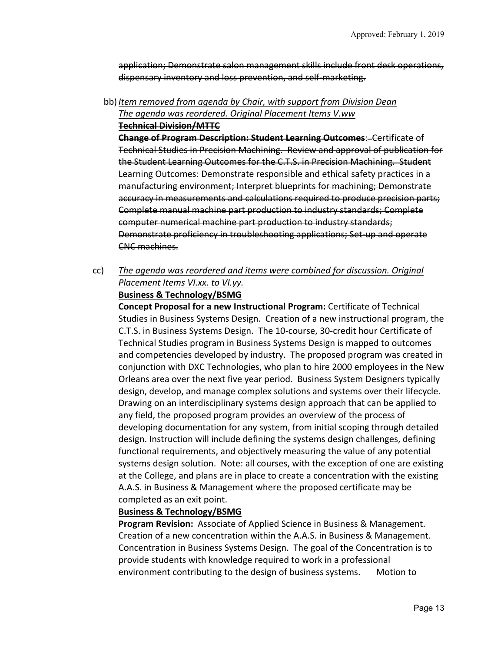application; Demonstrate salon management skills include front desk operations, dispensary inventory and loss prevention, and self‐marketing.

bb)*Item removed from agenda by Chair, with support from Division Dean The agenda was reordered. Original Placement Items V.ww*

**Technical Division/MTTC**

**Change of Program Description: Student Learning Outcomes**:Certificate of Technical Studies in Precision Machining. Review and approval of publication for the Student Learning Outcomes for the C.T.S. in Precision Machining. Student Learning Outcomes: Demonstrate responsible and ethical safety practices in a manufacturing environment; Interpret blueprints for machining; Demonstrate accuracy in measurements and calculations required to produce precision parts; Complete manual machine part production to industry standards; Complete computer numerical machine part production to industry standards; Demonstrate proficiency in troubleshooting applications; Set-up and operate CNC machines.

cc) *The agenda was reordered and items were combined for discussion. Original Placement Items VI.xx. to VI.yy.*  **Business & Technology/BSMG** 

**Concept Proposal for a new Instructional Program:** Certificate of Technical Studies in Business Systems Design. Creation of a new instructional program, the C.T.S. in Business Systems Design. The 10‐course, 30‐credit hour Certificate of Technical Studies program in Business Systems Design is mapped to outcomes and competencies developed by industry. The proposed program was created in conjunction with DXC Technologies, who plan to hire 2000 employees in the New Orleans area over the next five year period. Business System Designers typically design, develop, and manage complex solutions and systems over their lifecycle. Drawing on an interdisciplinary systems design approach that can be applied to any field, the proposed program provides an overview of the process of developing documentation for any system, from initial scoping through detailed design. Instruction will include defining the systems design challenges, defining functional requirements, and objectively measuring the value of any potential systems design solution. Note: all courses, with the exception of one are existing at the College, and plans are in place to create a concentration with the existing A.A.S. in Business & Management where the proposed certificate may be completed as an exit point.

#### **Business & Technology/BSMG**

**Program Revision:** Associate of Applied Science in Business & Management. Creation of a new concentration within the A.A.S. in Business & Management. Concentration in Business Systems Design. The goal of the Concentration is to provide students with knowledge required to work in a professional environment contributing to the design of business systems. Motion to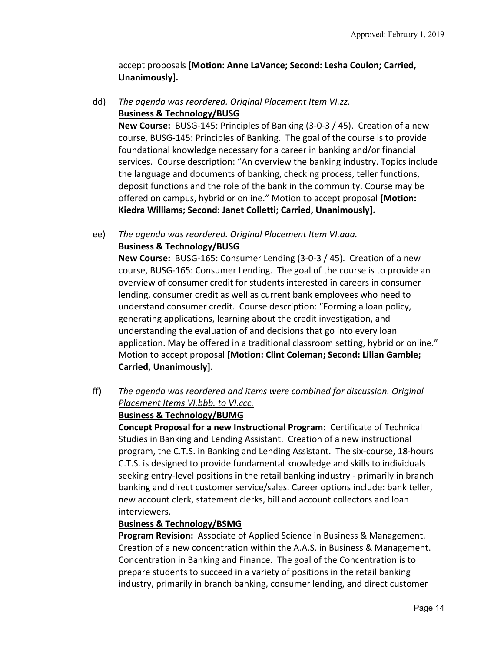accept proposals **[Motion: Anne LaVance; Second: Lesha Coulon; Carried, Unanimously].** 

## dd) *The agenda was reordered. Original Placement Item VI.zz.*  **Business & Technology/BUSG**

**New Course:** BUSG‐145: Principles of Banking (3‐0‐3 / 45). Creation of a new course, BUSG‐145: Principles of Banking. The goal of the course is to provide foundational knowledge necessary for a career in banking and/or financial services. Course description: "An overview the banking industry. Topics include the language and documents of banking, checking process, teller functions, deposit functions and the role of the bank in the community. Course may be offered on campus, hybrid or online." Motion to accept proposal **[Motion: Kiedra Williams; Second: Janet Colletti; Carried, Unanimously].**

# ee) *The agenda was reordered. Original Placement Item VI.aaa.*  **Business & Technology/BUSG**

**New Course:** BUSG-165: Consumer Lending (3-0-3 / 45). Creation of a new course, BUSG‐165: Consumer Lending. The goal of the course is to provide an overview of consumer credit for students interested in careers in consumer lending, consumer credit as well as current bank employees who need to understand consumer credit. Course description: "Forming a loan policy, generating applications, learning about the credit investigation, and understanding the evaluation of and decisions that go into every loan application. May be offered in a traditional classroom setting, hybrid or online." Motion to accept proposal **[Motion: Clint Coleman; Second: Lilian Gamble; Carried, Unanimously].**

# ff) *The agenda was reordered and items were combined for discussion. Original Placement Items VI.bbb. to VI.ccc.*

#### **Business & Technology/BUMG**

**Concept Proposal for a new Instructional Program:** Certificate of Technical Studies in Banking and Lending Assistant. Creation of a new instructional program, the C.T.S. in Banking and Lending Assistant. The six‐course, 18‐hours C.T.S. is designed to provide fundamental knowledge and skills to individuals seeking entry‐level positions in the retail banking industry ‐ primarily in branch banking and direct customer service/sales. Career options include: bank teller, new account clerk, statement clerks, bill and account collectors and loan interviewers.

# **Business & Technology/BSMG**

**Program Revision:** Associate of Applied Science in Business & Management. Creation of a new concentration within the A.A.S. in Business & Management. Concentration in Banking and Finance. The goal of the Concentration is to prepare students to succeed in a variety of positions in the retail banking industry, primarily in branch banking, consumer lending, and direct customer